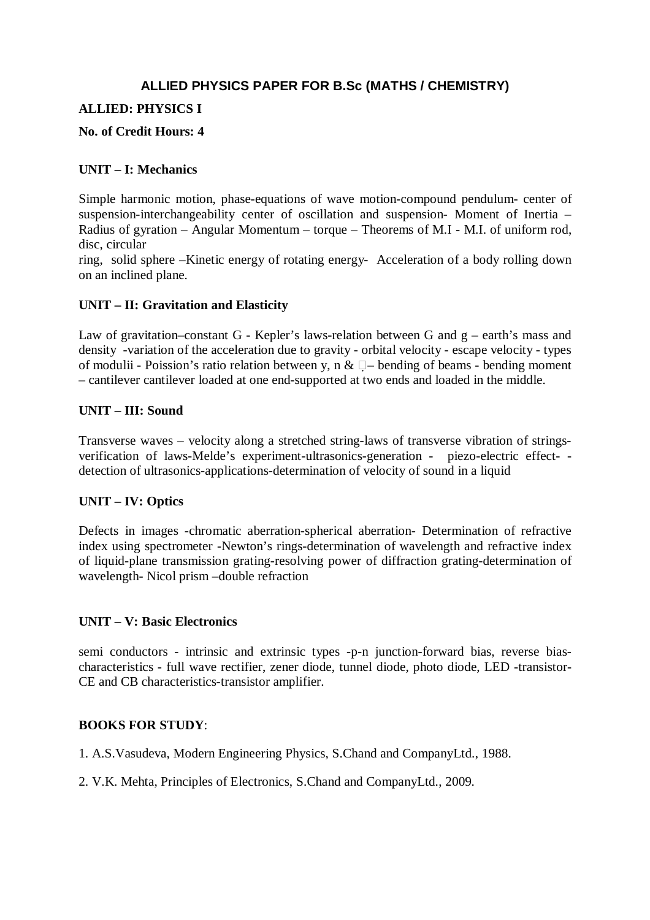# **ALLIED PHYSICS PAPER FOR B.Sc (MATHS / CHEMISTRY)**

## **ALLIED: PHYSICS I**

#### **No. of Credit Hours: 4**

#### **UNIT – I: Mechanics**

Simple harmonic motion, phase-equations of wave motion-compound pendulum- center of suspension-interchangeability center of oscillation and suspension- Moment of Inertia – Radius of gyration – Angular Momentum – torque – Theorems of M.I - M.I. of uniform rod, disc, circular

ring, solid sphere –Kinetic energy of rotating energy- Acceleration of a body rolling down on an inclined plane.

## **UNIT – II: Gravitation and Elasticity**

Law of gravitation–constant G - Kepler's laws-relation between G and  $g$  – earth's mass and density -variation of the acceleration due to gravity - orbital velocity - escape velocity - types of modulii - Poission's ratio relation between y, n &  $\square$  - bending of beams - bending moment – cantilever cantilever loaded at one end-supported at two ends and loaded in the middle.

## **UNIT – III: Sound**

Transverse waves – velocity along a stretched string-laws of transverse vibration of stringsverification of laws-Melde's experiment-ultrasonics-generation - piezo-electric effect- detection of ultrasonics-applications-determination of velocity of sound in a liquid

# **UNIT – IV: Optics**

Defects in images -chromatic aberration-spherical aberration- Determination of refractive index using spectrometer -Newton's rings-determination of wavelength and refractive index of liquid-plane transmission grating-resolving power of diffraction grating-determination of wavelength- Nicol prism –double refraction

#### **UNIT – V: Basic Electronics**

semi conductors - intrinsic and extrinsic types -p-n junction-forward bias, reverse biascharacteristics - full wave rectifier, zener diode, tunnel diode, photo diode, LED -transistor-CE and CB characteristics-transistor amplifier.

# **BOOKS FOR STUDY**:

- 1. A.S.Vasudeva, Modern Engineering Physics, S.Chand and CompanyLtd., 1988.
- 2. V.K. Mehta, Principles of Electronics, S.Chand and CompanyLtd., 2009.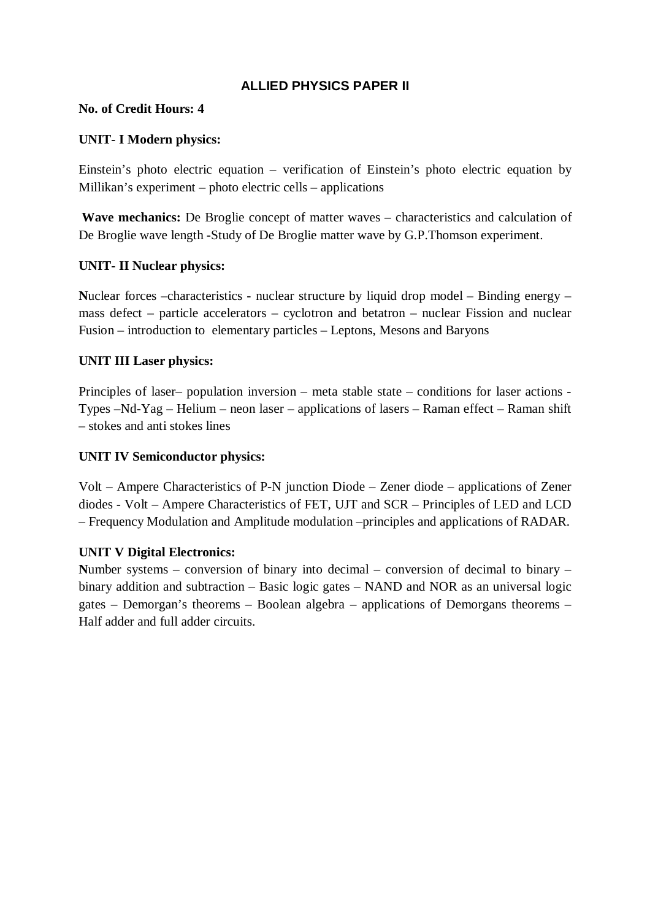# **ALLIED PHYSICS PAPER II**

## **No. of Credit Hours: 4**

# **UNIT- I Modern physics:**

Einstein's photo electric equation – verification of Einstein's photo electric equation by Millikan's experiment – photo electric cells – applications

Wave mechanics: De Broglie concept of matter waves – characteristics and calculation of De Broglie wave length -Study of De Broglie matter wave by G.P.Thomson experiment.

## **UNIT- II Nuclear physics:**

**N**uclear forces –characteristics - nuclear structure by liquid drop model – Binding energy – mass defect – particle accelerators – cyclotron and betatron – nuclear Fission and nuclear Fusion – introduction to elementary particles – Leptons, Mesons and Baryons

## **UNIT III Laser physics:**

Principles of laser– population inversion – meta stable state – conditions for laser actions - Types –Nd-Yag – Helium – neon laser – applications of lasers – Raman effect – Raman shift – stokes and anti stokes lines

## **UNIT IV Semiconductor physics:**

Volt – Ampere Characteristics of P-N junction Diode – Zener diode – applications of Zener diodes - Volt – Ampere Characteristics of FET, UJT and SCR – Principles of LED and LCD – Frequency Modulation and Amplitude modulation –principles and applications of RADAR.

#### **UNIT V Digital Electronics:**

**N**umber systems – conversion of binary into decimal – conversion of decimal to binary – binary addition and subtraction – Basic logic gates – NAND and NOR as an universal logic gates – Demorgan's theorems – Boolean algebra – applications of Demorgans theorems – Half adder and full adder circuits.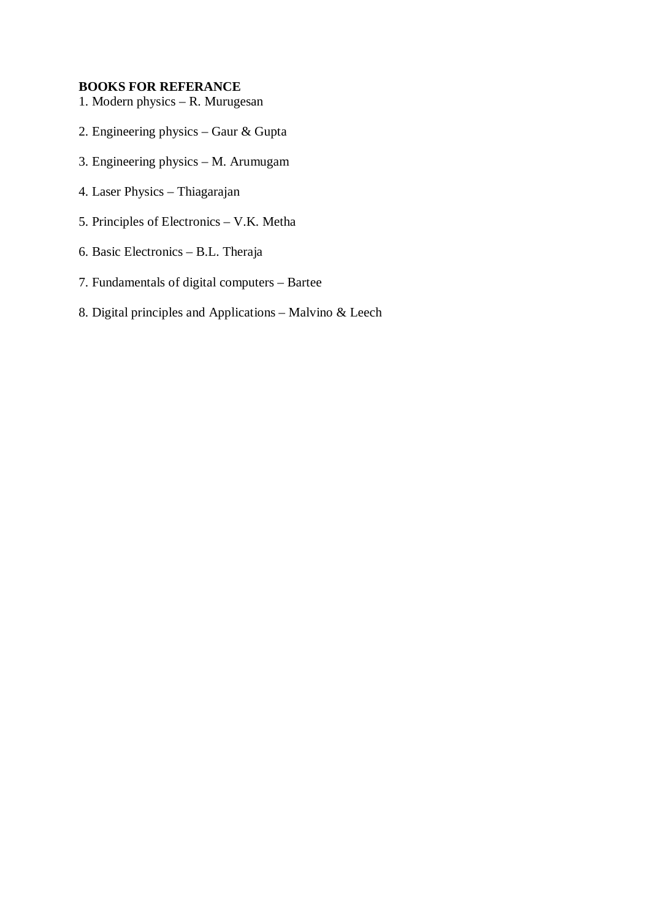#### **BOOKS FOR REFERANCE**

- 1. Modern physics R. Murugesan
- 2. Engineering physics Gaur & Gupta
- 3. Engineering physics M. Arumugam
- 4. Laser Physics Thiagarajan
- 5. Principles of Electronics V.K. Metha
- 6. Basic Electronics B.L. Theraja
- 7. Fundamentals of digital computers Bartee
- 8. Digital principles and Applications Malvino & Leech